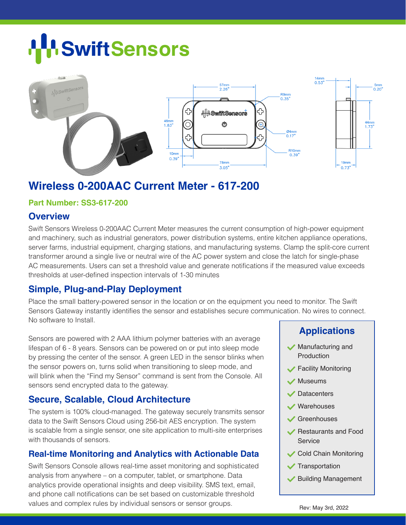# **SwiftSensors**



# **Wireless 0-200AAC Current Meter - 617-200**

#### **Part Number: SS3-617-200**

#### **Overview**

Swift Sensors Wireless 0-200AAC Current Meter measures the current consumption of high-power equipment and machinery, such as industrial generators, power distribution systems, entire kitchen appliance operations, server farms, industrial equipment, charging stations, and manufacturing systems. Clamp the split-core current transformer around a single live or neutral wire of the AC power system and close the latch for single-phase AC measurements. Users can set a threshold value and generate notifications if the measured value exceeds thresholds at user-defined inspection intervals of 1-30 minutes

#### **Simple, Plug-and-Play Deployment**

Place the small battery-powered sensor in the location or on the equipment you need to monitor. The Swift Sensors Gateway instantly identifies the sensor and establishes secure communication. No wires to connect. No software to Install.

Sensors are powered with 2 AAA lithium polymer batteries with an average lifespan of 6 - 8 years. Sensors can be powered on or put into sleep mode by pressing the center of the sensor. A green LED in the sensor blinks when the sensor powers on, turns solid when transitioning to sleep mode, and will blink when the "Find my Sensor" command is sent from the Console. All sensors send encrypted data to the gateway.

#### **Secure, Scalable, Cloud Architecture**

The system is 100% cloud-managed. The gateway securely transmits sensor data to the Swift Sensors Cloud using 256-bit AES encryption. The system is scalable from a single sensor, one site application to multi-site enterprises with thousands of sensors.

#### **Real-time Monitoring and Analytics with Actionable Data**

Swift Sensors Console allows real-time asset monitoring and sophisticated analysis from anywhere – on a computer, tablet, or smartphone. Data analytics provide operational insights and deep visibility. SMS text, email, and phone call notifications can be set based on customizable threshold values and complex rules by individual sensors or sensor groups. Rev: May 3rd, 2022

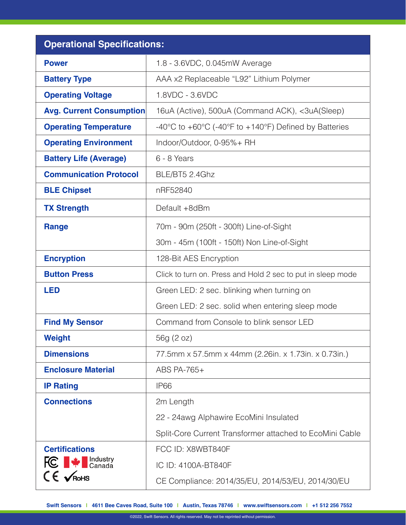| <b>Operational Specifications:</b>               |                                                                                                |  |  |  |
|--------------------------------------------------|------------------------------------------------------------------------------------------------|--|--|--|
| <b>Power</b>                                     | 1.8 - 3.6VDC, 0.045mW Average                                                                  |  |  |  |
| <b>Battery Type</b>                              | AAA x2 Replaceable "L92" Lithium Polymer                                                       |  |  |  |
| <b>Operating Voltage</b>                         | 1.8VDC - 3.6VDC                                                                                |  |  |  |
| <b>Avg. Current Consumption</b>                  | 16uA (Active), 500uA (Command ACK), <3uA(Sleep)                                                |  |  |  |
| <b>Operating Temperature</b>                     | $-40^{\circ}$ C to $+60^{\circ}$ C ( $-40^{\circ}$ F to $+140^{\circ}$ F) Defined by Batteries |  |  |  |
| <b>Operating Environment</b>                     | Indoor/Outdoor, 0-95%+ RH                                                                      |  |  |  |
| <b>Battery Life (Average)</b>                    | 6 - 8 Years                                                                                    |  |  |  |
| <b>Communication Protocol</b>                    | BLE/BT5 2.4Ghz                                                                                 |  |  |  |
| <b>BLE Chipset</b>                               | nRF52840                                                                                       |  |  |  |
| <b>TX Strength</b>                               | Default +8dBm                                                                                  |  |  |  |
| <b>Range</b>                                     | 70m - 90m (250ft - 300ft) Line-of-Sight                                                        |  |  |  |
|                                                  | 30m - 45m (100ft - 150ft) Non Line-of-Sight                                                    |  |  |  |
| <b>Encryption</b>                                | 128-Bit AES Encryption                                                                         |  |  |  |
| <b>Button Press</b>                              | Click to turn on. Press and Hold 2 sec to put in sleep mode                                    |  |  |  |
| <b>LED</b>                                       | Green LED: 2 sec. blinking when turning on                                                     |  |  |  |
|                                                  | Green LED: 2 sec. solid when entering sleep mode                                               |  |  |  |
| <b>Find My Sensor</b>                            | Command from Console to blink sensor LED                                                       |  |  |  |
| <b>Weight</b>                                    | 56g (2 oz)                                                                                     |  |  |  |
| <b>Dimensions</b>                                | 77.5mm x 57.5mm x 44mm (2.26in. x 1.73in. x 0.73in.)                                           |  |  |  |
| <b>Enclosure Material</b>                        | ABS PA-765+                                                                                    |  |  |  |
| <b>IP Rating</b>                                 | IP <sub>66</sub>                                                                               |  |  |  |
| <b>Connections</b>                               | 2m Length<br>22 - 24awg Alphawire EcoMini Insulated                                            |  |  |  |
|                                                  |                                                                                                |  |  |  |
|                                                  | Split-Core Current Transformer attached to EcoMini Cable                                       |  |  |  |
| <b>Certifications</b>                            | FCC ID: X8WBT840F                                                                              |  |  |  |
| <b>FC</b> $\blacktriangleright$ <b>FC</b> Canada | IC ID: 4100A-BT840F                                                                            |  |  |  |
| $CE \times$ RoHS                                 | CE Compliance: 2014/35/EU, 2014/53/EU, 2014/30/EU                                              |  |  |  |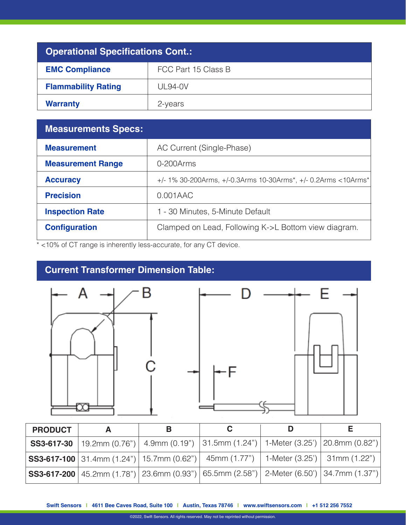| <b>Operational Specifications Cont.:</b> |                     |  |  |  |
|------------------------------------------|---------------------|--|--|--|
| <b>EMC Compliance</b>                    | FCC Part 15 Class B |  |  |  |
| <b>Flammability Rating</b>               | $UL94-0V$           |  |  |  |
| <b>Warranty</b>                          | 2-years             |  |  |  |

| <b>Measurements Specs:</b> |                                                                        |  |  |
|----------------------------|------------------------------------------------------------------------|--|--|
| <b>Measurement</b>         | AC Current (Single-Phase)                                              |  |  |
| <b>Measurement Range</b>   | 0-200Arms                                                              |  |  |
| <b>Accuracy</b>            | $+/-$ 1% 30-200Arms, $+/-0.3$ Arms 10-30Arms*, $+/-0.2$ Arms < 10Arms* |  |  |
| <b>Precision</b>           | $0.001$ AAC                                                            |  |  |
| <b>Inspection Rate</b>     | 1 - 30 Minutes, 5-Minute Default                                       |  |  |
| <b>Configuration</b>       | Clamped on Lead, Following K->L Bottom view diagram.                   |  |  |

\* <10% of CT range is inherently less-accurate, for any CT device.

## **Current Transformer Dimension Table:**



| <b>PRODUCT</b> | в |                                                                                                               |  |
|----------------|---|---------------------------------------------------------------------------------------------------------------|--|
|                |   | <b>SS3-617-30</b>   19.2mm (0.76")   4.9mm (0.19")   31.5mm (1.24")   1-Meter (3.25')   20.8mm (0.82")        |  |
|                |   | $ \text{SS3-617-100} 31.4 \text{mm}$ (1.24")   15.7mm (0.62")   45mm (1.77")   1-Meter (3.25')   31mm (1.22") |  |
|                |   | <b>SS3-617-200</b>   45.2mm (1.78")   23.6mm (0.93")   65.5mm (2.58")   2-Meter (6.50')   34.7mm (1.37")      |  |